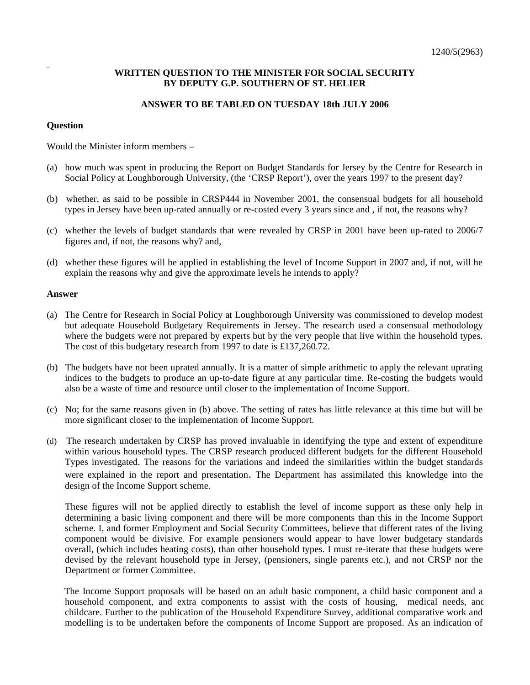## **WRITTEN QUESTION TO THE MINISTER FOR SOCIAL SECURITY BY DEPUTY G.P. SOUTHERN OF ST. HELIER**

## **ANSWER TO BE TABLED ON TUESDAY 18th JULY 2006**

## **Question**

Would the Minister inform members –

- (a) how much was spent in producing the Report on Budget Standards for Jersey by the Centre for Research in Social Policy at Loughborough University, (the 'CRSP Report'), over the years 1997 to the present day?
- (b) whether, as said to be possible in CRSP444 in November 2001, the consensual budgets for all household types in Jersey have been up-rated annually or re-costed every 3 years since and , if not, the reasons why?
- (c) whether the levels of budget standards that were revealed by CRSP in 2001 have been up-rated to 2006/7 figures and, if not, the reasons why? and,
- (d) whether these figures will be applied in establishing the level of Income Support in 2007 and, if not, will he explain the reasons why and give the approximate levels he intends to apply?

## **Answer**

- (a) The Centre for Research in Social Policy at Loughborough University was commissioned to develop modest but adequate Household Budgetary Requirements in Jersey. The research used a consensual methodology where the budgets were not prepared by experts but by the very people that live within the household types. The cost of this budgetary research from 1997 to date is £137,260.72.
- (b) The budgets have not been uprated annually. It is a matter of simple arithmetic to apply the relevant uprating indices to the budgets to produce an up-to-date figure at any particular time. Re-costing the budgets would also be a waste of time and resource until closer to the implementation of Income Support.
- (c) No; for the same reasons given in (b) above. The setting of rates has little relevance at this time but will be more significant closer to the implementation of Income Support.
- (d) The research undertaken by CRSP has proved invaluable in identifying the type and extent of expenditure within various household types. The CRSP research produced different budgets for the different Household Types investigated. The reasons for the variations and indeed the similarities within the budget standards were explained in the report and presentation. The Department has assimilated this knowledge into the design of the Income Support scheme.

 These figures will not be applied directly to establish the level of income support as these only help in determining a basic living component and there will be more components than this in the Income Support scheme. I, and former Employment and Social Security Committees, believe that different rates of the living component would be divisive. For example pensioners would appear to have lower budgetary standards overall, (which includes heating costs), than other household types. I must re-iterate that these budgets were devised by the relevant household type in Jersey, (pensioners, single parents etc.), and not CRSP nor the Department or former Committee.

 The Income Support proposals will be based on an adult basic component, a child basic component and a household component, and extra components to assist with the costs of housing, medical needs, and childcare. Further to the publication of the Household Expenditure Survey, additional comparative work and modelling is to be undertaken before the components of Income Support are proposed. As an indication of